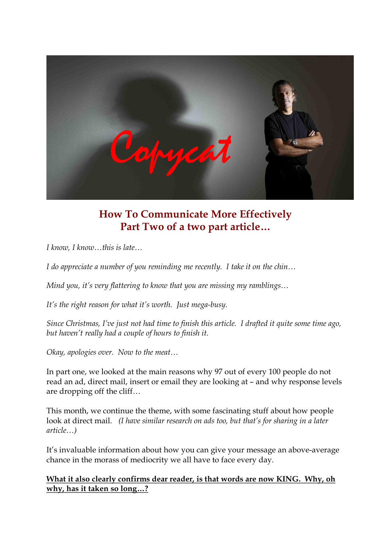

# **How To Communicate More Effectively Part Two of a two part article…**

*I know, I know…this is late…* 

*I do appreciate a number of you reminding me recently. I take it on the chin…* 

*Mind you, it's very flattering to know that you are missing my ramblings…* 

*It's the right reason for what it's worth.* Just mega-busy.

*Since Christmas, I've just not had time to finish this article. I drafted it quite some time ago, but haven't really had a couple of hours to finish it.*

*Okay, apologies over. Now to the meat…*

In part one, we looked at the main reasons why 97 out of every 100 people do not read an ad, direct mail, insert or email they are looking at – and why response levels are dropping off the cliff…

This month, we continue the theme, with some fascinating stuff about how people look at direct mail. *(I have similar research on ads too, but that's for sharing in a later article…)*

It's invaluable information about how you can give your message an above-average chance in the morass of mediocrity we all have to face every day.

**What it also clearly confirms dear reader, is that words are now KING. Why, oh why, has it taken so long…?**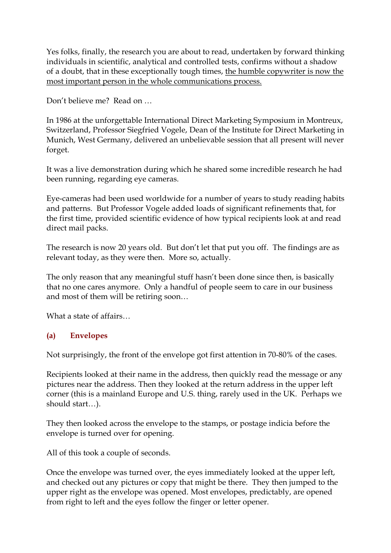Yes folks, finally, the research you are about to read, undertaken by forward thinking individuals in scientific, analytical and controlled tests, confirms without a shadow of a doubt, that in these exceptionally tough times, the humble copywriter is now the most important person in the whole communications process.

Don't believe me? Read on …

In 1986 at the unforgettable International Direct Marketing Symposium in Montreux, Switzerland, Professor Siegfried Vogele, Dean of the Institute for Direct Marketing in Munich, West Germany, delivered an unbelievable session that all present will never forget.

It was a live demonstration during which he shared some incredible research he had been running, regarding eye cameras.

Eye-cameras had been used worldwide for a number of years to study reading habits and patterns. But Professor Vogele added loads of significant refinements that, for the first time, provided scientific evidence of how typical recipients look at and read direct mail packs.

The research is now 20 years old. But don't let that put you off. The findings are as relevant today, as they were then. More so, actually.

The only reason that any meaningful stuff hasn't been done since then, is basically that no one cares anymore. Only a handful of people seem to care in our business and most of them will be retiring soon...<br>What a state of affairs...

# **(a) Envelopes**

Not surprisingly, the front of the envelope got first attention in 70-80% of the cases.

Recipients looked at their name in the address, then quickly read the message or any pictures near the address. Then they looked at the return address in the upper left corner (this is a mainland Europe and U.S. thing, rarely used in the UK. Perhaps we should start…).

They then looked across the envelope to the stamps, or postage indicia before the envelope is turned over for opening.

All of this took a couple of seconds.

Once the envelope was turned over, the eyes immediately looked at the upper left, and checked out any pictures or copy that might be there. They then jumped to the upper right as the envelope was opened. Most envelopes, predictably, are opened from right to left and the eyes follow the finger or letter opener.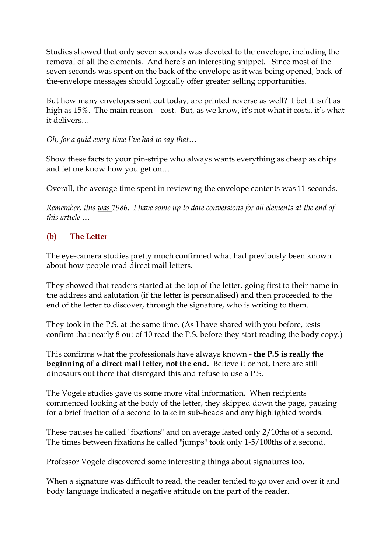Studies showed that only seven seconds was devoted to the envelope, including the removal of all the elements. And here's an interesting snippet. Since most of the seven seconds was spent on the back of the envelope as it was being opened, back-ofthe-envelope messages should logically offer greater selling opportunities.

But how many envelopes sent out today, are printed reverse as well? I bet it isn't as high as 15%. The main reason – cost. But, as we know, it's not what it costs, it's what it delivers…

*Oh, for a quid every time I've had to say that…*

Show these facts to your pin-stripe who always wants everything as cheap as chips and let me know how you get on…

Overall, the average time spent in reviewing the envelope contents was 11 seconds.

*Remember, this was 1986. I have some up to date conversions for all elements at the end of this article …*

# **(b) The Letter**

The eye-camera studies pretty much confirmed what had previously been known about how people read direct mail letters.

They showed that readers started at the top of the letter, going first to their name in the address and salutation (if the letter is personalised) and then proceeded to the end of the letter to discover, through the signature, who is writing to them.

They took in the P.S. at the same time. (As I have shared with you before, tests confirm that nearly 8 out of 10 read the P.S. before they start reading the body copy.)

This confirms what the professionals have always known **the P.S is really the beginning of a direct mail letter, not the end.** Believe it or not, there are still dinosaurs out there that disregard this and refuse to use a P.S.

The Vogele studies gave us some more vital information. When recipients commenced looking at the body of the letter, they skipped down the page, pausing for a brief fraction of a second to take in sub-heads and any highlighted words.

These pauses he called "fixations" and on average lasted only 2/10ths of a second. The times between fixations he called "jumps" took only 1-5/100ths of a second.

Professor Vogele discovered some interesting things about signatures too.

When a signature was difficult to read, the reader tended to go over and over it and body language indicated a negative attitude on the part of the reader.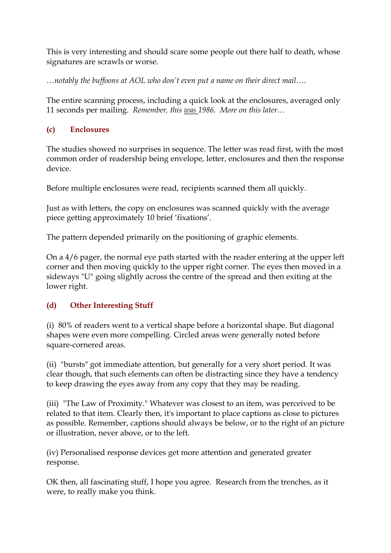This is very interesting and should scare some people out there half to death, whose signatures are scrawls or worse.

*…notably the buffoons at AOL who don't even put a name on their direct mail….*

The entire scanning process, including a quick look at the enclosures, averaged only 11 seconds per mailing. *Remember, this was 1986. More on this later…*

### **(c) Enclosures**

The studies showed no surprises in sequence. The letter was read first, with the most common order of readership being envelope, letter, enclosures and then the response device.

Before multiple enclosures were read, recipients scanned them all quickly.

Just as with letters, the copy on enclosures was scanned quickly with the average piece getting approximately 10 brief 'fixations'.

The pattern depended primarily on the positioning of graphic elements.

On a 4/6 pager, the normal eye path started with the reader entering at the upper left corner and then moving quickly to the upper right corner. The eyes then moved in a sideways "U" going slightly across the centre of the spread and then exiting at the lower right.

# **(d) Other Interesting Stuff**

(i) 80% of readers went to a vertical shape before a horizontal shape. But diagonal shapes were even more compelling. Circled areas were generally noted before square-cornered areas.

(ii) "bursts" got immediate attention, but generally for a very short period. It was clear though, that such elements can often be distracting since they have a tendency to keep drawing the eyes away from any copy that they may be reading.

(iii) "The Law of Proximity." Whatever was closest to an item, was perceived to be related to that item. Clearly then, it's important to place captions as close to pictures as possible. Remember, captions should always be below, or to the right of an picture or illustration, never above, or to the left.

(iv) Personalised response devices get more attention and generated greater response.

OK then, all fascinating stuff, I hope you agree. Research from the trenches, as it were, to really make you think.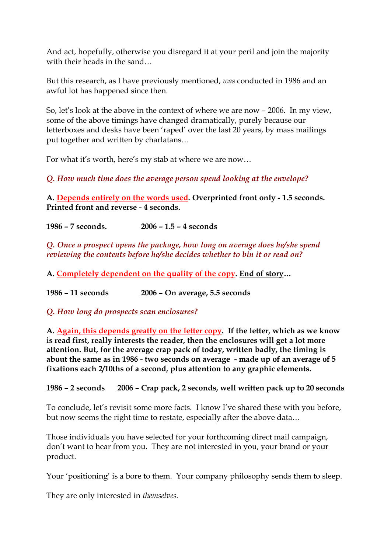And act, hopefully, otherwise you disregard it at your peril and join the majority with their heads in the sand...

But this research, as I have previously mentioned, *was* conducted in 1986 and an awful lot has happened since then.

So, let's look at the above in the context of where we are now – 2006. In my view, some of the above timings have changed dramatically, purely because our letterboxes and desks have been 'raped' over the last 20 years, by mass mailings put together and written by charlatans…

For what it's worth, here's my stab at where we are now…

*Q. How much time does the average person spend looking at the envelope?*

**A. Depends entirely on the words used. Overprinted front only 1.5 seconds. Printed front and reverse 4 seconds.** 

**1986 – 7 seconds. 2006 – 1.5 – 4 seconds**

*Q. Once a prospect opens the package, how long on average does he/she spend reviewing the contents before he/she decides whether to bin it or read on?*

**A. Completely dependent on the quality of the copy. End of story…** 

**1986 – 11 seconds 2006 – On average, 5.5 seconds**

*Q. How long do prospects scan enclosures?*

**A. Again, this depends greatly on the letter copy. If the letter, which as we know is read first, really interests the reader, then the enclosures will get a lot more attention. But, for the average crap pack of today, written badly, the timing is about the same as in 1986 two seconds on average made up of an average of 5 fixations each 2/10ths of a second, plus attention to any graphic elements.**

**1986 – 2 seconds 2006 – Crap pack, 2 seconds, well written pack up to 20 seconds**

To conclude, let's revisit some more facts. I know I've shared these with you before, but now seems the right time to restate, especially after the above data…

Those individuals you have selected for your forthcoming direct mail campaign, don't want to hear from you. They are not interested in you, your brand or your product.

Your 'positioning' is a bore to them. Your company philosophy sends them to sleep.

They are only interested in *themselves.*